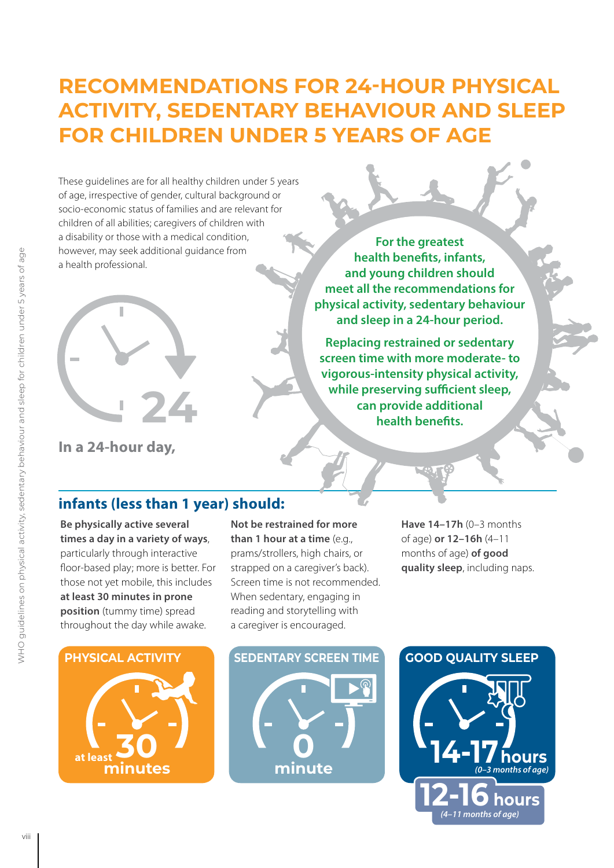## **RECOMMENDATIONS FOR 24-HOUR PHYSICAL ACTIVITY, SEDENTARY BEHAVIOUR AND SLEEP FOR CHILDREN UNDER 5 YEARS OF AGE**

These guidelines are for all healthy children under 5 years of age, irrespective of gender, cultural background or socio-economic status of families and are relevant for children of all abilities; caregivers of children with a disability or those with a medical condition, however, may seek additional guidance from a health professional.



**For the greatest health benefits, infants, and young children should meet all the recommendations for physical activity, sedentary behaviour and sleep in a 24-hour period.**

**Replacing restrained or sedentary screen time with more moderate- to vigorous-intensity physical activity, while preserving sufficient sleep, can provide additional health benefits.**

**In a 24-hour day,**

### **infants (less than 1 year) should:**

**Be physically active several times a day in a variety of ways**, particularly through interactive floor-based play; more is better. For those not yet mobile, this includes **at least 30 minutes in prone position** (tummy time) spread throughout the day while awake.

#### **Not be restrained for more than 1 hour at a time** (e.g., prams/strollers, high chairs, or strapped on a caregiver's back). Screen time is not recommended. When sedentary, engaging in reading and storytelling with a caregiver is encouraged.





**PHYSICAL ACTIVITY SEDENTARY SCREEN TIME GOOD QUALITY SLEEP minute**

**Have 14–17h** (0–3 months of age) **or 12–16h** (4–11 months of age) **of good quality sleep**, including naps.